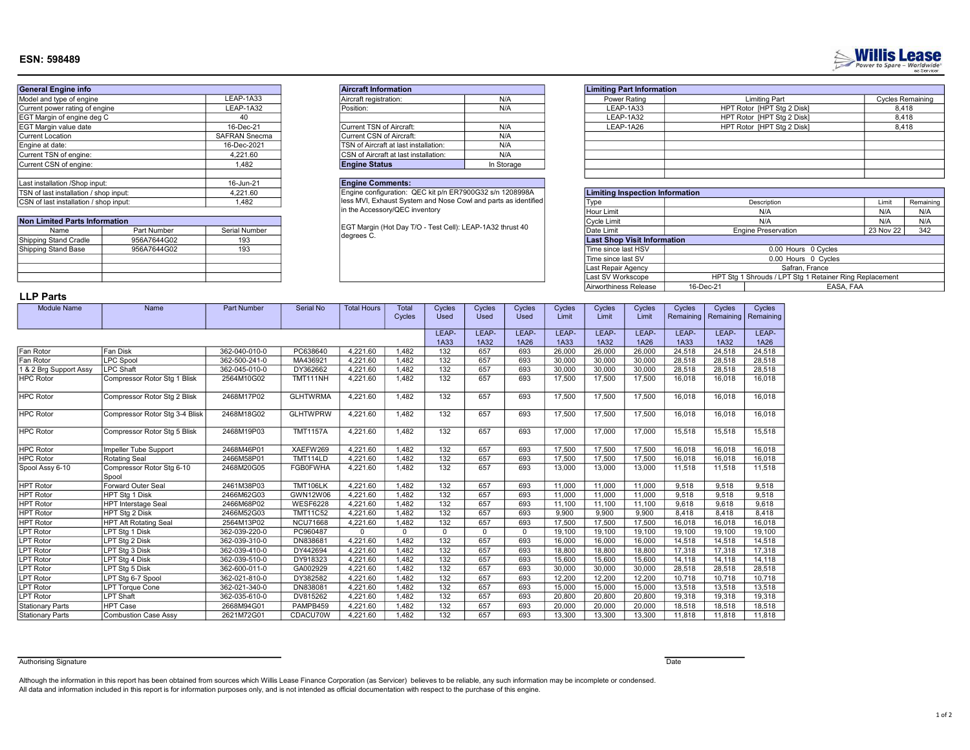# ESN: 598489

| <b>General Engine info</b>             |                      | <b>Aircraft Information</b>           |
|----------------------------------------|----------------------|---------------------------------------|
| Model and type of engine               | LEAP-1A33            | Aircraft registration:                |
| Current power rating of engine         | LEAP-1A32            | Position:                             |
| EGT Margin of engine deg C             | 40                   |                                       |
| EGT Margin value date                  | 16-Dec-21            | Current TSN of Aircraft:              |
| Current Location                       | <b>SAFRAN Snecma</b> | Current CSN of Aircraft:              |
| Engine at date:                        | 16-Dec-2021          | TSN of Aircraft at last installation: |
| Current TSN of engine:                 | 4.221.60             | CSN of Aircraft at last installation: |
| Current CSN of engine:                 | 1.482                | <b>Engine Status</b>                  |
|                                        |                      |                                       |
| Last installation /Shop input:         | 16-Jun-21            | <b>Engine Comments:</b>               |
| TSN of last installation / shop input: | 4,221.60             | Engine configuration: QEC kit p/r     |
| CSN of last installation / shop input: | 1.482                | less MVI, Exhaust System and No       |

| <b>Non Limited Parts Information</b> |             |               |  |  |  |  |  |  |  |
|--------------------------------------|-------------|---------------|--|--|--|--|--|--|--|
| Name                                 | Part Number | Serial Number |  |  |  |  |  |  |  |
| Shipping Stand Cradle                | 956A7644G02 | 193           |  |  |  |  |  |  |  |
| Shipping Stand Base                  | 956A7644G02 | 193           |  |  |  |  |  |  |  |
|                                      |             |               |  |  |  |  |  |  |  |
|                                      |             |               |  |  |  |  |  |  |  |
|                                      |             |               |  |  |  |  |  |  |  |

| <b>Aircraft Information</b>           |            | <b>Limiting Part Information</b> |  |
|---------------------------------------|------------|----------------------------------|--|
| Aircraft registration:                | N/A        | Power Rating                     |  |
| Position:                             | N/A        | $LEAP-1A33$                      |  |
|                                       |            | LEAP-1A32                        |  |
| Current TSN of Aircraft:              | N/A        | LEAP-1A26                        |  |
| Current CSN of Aircraft:              | N/A        |                                  |  |
| TSN of Aircraft at last installation: | N/A        |                                  |  |
| CSN of Aircraft at last installation: | N/A        |                                  |  |
| <b>Engine Status</b>                  | In Storage |                                  |  |

#### Engine Comments:

|         | <b>Limiting Part Information</b> |                            |                         |
|---------|----------------------------------|----------------------------|-------------------------|
| N/A     | Power Rating                     | <b>Limiting Part</b>       | <b>Cycles Remaining</b> |
| N/A     | LEAP-1A33                        | HPT Rotor [HPT Stg 2 Disk] | 8.418                   |
|         | LEAP-1A32                        | HPT Rotor [HPT Stg 2 Disk] | 8,418                   |
| N/A     | LEAP-1A26                        | HPT Rotor [HPT Stg 2 Disk] | 8.418                   |
| N/A     |                                  |                            |                         |
| N/A     |                                  |                            |                         |
| N/A     |                                  |                            |                         |
| storage |                                  |                            |                         |
|         |                                  |                            |                         |

**Willis Lease** 

È

| TSN of last installation / shop input:<br>4.221.60 |             |               | Engine configuration: QEC kit p/n ER7900G32 s/n 1208998A                                         |                                                           | <b>Limiting Inspection Information</b> |                       |                                                         |                            |           |     |  |  |
|----------------------------------------------------|-------------|---------------|--------------------------------------------------------------------------------------------------|-----------------------------------------------------------|----------------------------------------|-----------------------|---------------------------------------------------------|----------------------------|-----------|-----|--|--|
| CSN of last installation / shop input:<br>1,482    |             |               | less MVI, Exhaust System and Nose Cowl and parts as identified<br>in the Accessory/QEC inventory |                                                           | Tvne                                   |                       | Description                                             | Limit                      | Remaining |     |  |  |
|                                                    |             |               |                                                                                                  |                                                           | Hour Limit                             |                       | N/A                                                     | N/A                        | N/A       |     |  |  |
| Non Limited Parts Information                      |             |               |                                                                                                  | Cvcle Limit                                               |                                        | N/A                   | N/A                                                     | N/A                        |           |     |  |  |
| Name                                               | Part Number | Serial Number |                                                                                                  | EGT Margin (Hot Day T/O - Test Cell): LEAP-1A32 thrust 40 |                                        | Date Limit            |                                                         | <b>Engine Preservation</b> | 23 Nov 22 | 342 |  |  |
| Shipping Stand Cradle                              | 956A7644G02 | 193           |                                                                                                  | degrees C.                                                |                                        |                       | <b>Last Shop Visit Information</b>                      |                            |           |     |  |  |
| Shipping Stand Base                                | 956A7644G02 | 193           |                                                                                                  |                                                           |                                        | Time since last HSV   |                                                         | 0.00 Hours 0 Cycles        |           |     |  |  |
|                                                    |             |               |                                                                                                  |                                                           |                                        | Time since last SV    |                                                         | 0.00 Hours 0 Cycles        |           |     |  |  |
|                                                    |             |               |                                                                                                  |                                                           | Last Repair Agency                     | Safran, France        |                                                         |                            |           |     |  |  |
|                                                    |             |               |                                                                                                  |                                                           |                                        | Last SV Workscope     | HPT Sta 1 Shrouds / LPT Sta 1 Retainer Ring Replacement |                            |           |     |  |  |
|                                                    |             |               |                                                                                                  |                                                           |                                        | Airworthiness Release | 16-Dec-21                                               | EASA, FAA                  |           |     |  |  |
|                                                    |             |               |                                                                                                  |                                                           |                                        |                       |                                                         |                            |           |     |  |  |

# LLP Parts

| <b>Module Name</b>      | Name                           | <b>Part Number</b> | Serial No       | <b>Total Hours</b> | Total    | Cycles        | Cycles        | Cycles        | Cycles        | Cycles        | Cycles        | Cycles        | Cycles        | Cycles               |
|-------------------------|--------------------------------|--------------------|-----------------|--------------------|----------|---------------|---------------|---------------|---------------|---------------|---------------|---------------|---------------|----------------------|
|                         |                                |                    |                 |                    | Cycles   | Used          | Used          | Used          | Limit         | Limit         | Limit         | Remaining     | Remaining     | Remaining            |
|                         |                                |                    |                 |                    |          |               |               |               |               |               |               |               |               |                      |
|                         |                                |                    |                 |                    |          | LEAP-<br>1A33 | LEAP-<br>1A32 | LEAP-<br>1A26 | LEAP-<br>1A33 | LEAP-<br>1A32 | LEAP-<br>1A26 | LEAP-<br>1A33 | LEAP-<br>1A32 | LEAP-<br><b>1A26</b> |
| Fan Rotor               | Fan Disk                       | 362-040-010-0      | PC638640        | 4.221.60           | 1.482    | 132           | 657           | 693           | 26,000        | 26,000        | 26,000        | 24,518        | 24,518        | 24,518               |
| Fan Rotor               | <b>LPC Spool</b>               | 362-500-241-0      | MA436921        | 4.221.60           | 1.482    | 132           | 657           | 693           | 30,000        | 30,000        | 30,000        | 28,518        | 28,518        | 28,518               |
|                         |                                |                    |                 |                    |          | 132           | 657           | 693           | 30,000        | 30,000        |               |               |               |                      |
| 1 & 2 Brg Support Assy  | <b>LPC Shaft</b>               | 362-045-010-0      | DY362662        | 4.221.60           | 1.482    |               |               |               |               |               | 30,000        | 28,518        | 28,518        | 28,518               |
| HPC Rotor               | Compressor Rotor Stg 1 Blisk   | 2564M10G02         | TMT111NH        | 4,221.60           | 1,482    | 132           | 657           | 693           | 17,500        | 17,500        | 17,500        | 16,018        | 16.018        | 16.018               |
| <b>HPC Rotor</b>        | Compressor Rotor Stg 2 Blisk   | 2468M17P02         | <b>GLHTWRMA</b> | 4.221.60           | 1.482    | 132           | 657           | 693           | 17.500        | 17.500        | 17,500        | 16.018        | 16.018        | 16.018               |
|                         |                                |                    |                 |                    |          |               |               |               |               |               |               |               |               |                      |
| HPC Rotor               | Compressor Rotor Sta 3-4 Blisk | 2468M18G02         | <b>GLHTWPRW</b> | 4.221.60           | 1.482    | 132           | 657           | 693           | 17.500        | 17.500        | 17,500        | 16.018        | 16.018        | 16.018               |
| <b>HPC Rotor</b>        | Compressor Rotor Stg 5 Blisk   | 2468M19P03         | <b>TMT1157A</b> | 4,221.60           | 1,482    | 132           | 657           | 693           | 17,000        | 17,000        | 17,000        | 15,518        | 15,518        | 15,518               |
| <b>HPC</b> Rotor        | Impeller Tube Support          | 2468M46P01         | XAEFW269        | 4,221.60           | 1,482    | $132$         | 657           | 693           | 17,500        | 17,500        | 17,500        | 16,018        | 16,018        | 16,018               |
| <b>HPC Rotor</b>        | Rotating Seal                  | 2466M58P01         | <b>TMT114LD</b> | 4.221.60           | 1.482    | 132           | 657           | 693           | 17,500        | 17.500        | 17,500        | 16.018        | 16.018        | 16.018               |
| Spool Assy 6-10         | Compressor Rotor Stg 6-10      | 2468M20G05         | <b>FGB0FWHA</b> | 4.221.60           | 1.482    | 132           | 657           | 693           | 13,000        | 13,000        | 13.000        | 11.518        | 11.518        | 11,518               |
|                         | Spool                          |                    |                 |                    |          |               |               |               |               |               |               |               |               |                      |
| <b>HPT Rotor</b>        | Forward Outer Seal             | 2461M38P03         | TMT106LK        | 4,221.60           | 1,482    | 132           | 657           | 693           | 11,000        | 11,000        | 11,000        | 9,518         | 9.518         | 9,518                |
| <b>HPT Rotor</b>        | HPT Stg 1 Disk                 | 2466M62G03         | GWN12W06        | 4.221.60           | 1.482    | 132           | 657           | 693           | 11,000        | 11.000        | 11.000        | 9.518         | 9.518         | 9.518                |
| <b>HPT Rotor</b>        | <b>HPT</b> Interstage Seal     | 2466M68P02         | <b>WESF6228</b> | 4.221.60           | 1.482    | 132           | 657           | 693           | 11,100        | 11,100        | 11,100        | 9,618         | 9.618         | 9,618                |
| HPT Rotor               | HPT Stg 2 Disk                 | 2466M52G03         | <b>TMT11C52</b> | 4.221.60           | 1.482    | 132           | 657           | 693           | 9.900         | 9.900         | 9.900         | 8.418         | 8.418         | 8.418                |
| <b>HPT Rotor</b>        | <b>HPT Aft Rotating Seal</b>   | 2564M13P02         | <b>NCU71668</b> | 4,221.60           | 1,482    | 132           | 657           | 693           | 17,500        | 17,500        | 17,500        | 16,018        | 16,018        | 16,018               |
| <b>LPT Rotor</b>        | LPT Stg 1 Disk                 | 362-039-220-0      | PC960487        | $\Omega$           | $\Omega$ | $\Omega$      | $\Omega$      | $\Omega$      | 19,100        | 19,100        | 19,100        | 19,100        | 19,100        | 19,100               |
| <b>LPT Rotor</b>        | LPT Stg 2 Disk                 | 362-039-310-0      | DN838681        | 4,221.60           | 1,482    | 132           | 657           | 693           | 16,000        | 16,000        | 16,000        | 14,518        | 14,518        | 14,518               |
| <b>LPT Rotor</b>        | LPT Sta 3 Disk                 | 362-039-410-0      | DY442694        | 4.221.60           | 1.482    | 132           | 657           | 693           | 18,800        | 18,800        | 18,800        | 17.318        | 17.318        | 17,318               |
| <b>LPT Rotor</b>        | LPT Sta 4 Disk                 | 362-039-510-0      | DY918323        | 4.221.60           | 1.482    | 132           | 657           | 693           | 15,600        | 15,600        | 15,600        | 14,118        | 14.118        | 14,118               |
| <b>LPT Rotor</b>        | LPT Stg 5 Disk                 | 362-600-011-0      | GA002929        | 4,221.60           | 1.482    | 132           | 657           | 693           | 30,000        | 30,000        | 30,000        | 28,518        | 28,518        | 28,518               |
| <b>LPT Rotor</b>        | LPT Stg 6-7 Spool              | 362-021-810-0      | DY382582        | 4.221.60           | 1.482    | 132           | 657           | 693           | 12.200        | 12.200        | 12.200        | 10,718        | 10,718        | 10,718               |
| <b>LPT Rotor</b>        | <b>LPT Torque Cone</b>         | 362-021-340-0      | DN838081        | 4,221.60           | 1.482    | 132           | 657           | 693           | 15,000        | 15,000        | 15,000        | 13,518        | 13,518        | 13,518               |
| <b>LPT Rotor</b>        | <b>LPT Shaft</b>               | 362-035-610-0      | DV815262        | 4,221.60           | 1,482    | 132           | 657           | 693           | 20,800        | 20,800        | 20,800        | 19,318        | 19,318        | 19,318               |
| <b>Stationary Parts</b> | <b>HPT Case</b>                | 2668M94G01         | PAMPB459        | 4.221.60           | 1,482    | 132           | 657           | 693           | 20,000        | 20,000        | 20,000        | 18,518        | 18,518        | 18,518               |
| Stationary Parts        | <b>Combustion Case Assy</b>    | 2621M72G01         | CDACU70W        | 4.221.60           | 1.482    | 132           | 657           | 693           | 13,300        | 13,300        | 13,300        | 11.818        | 11.818        | 11,818               |
|                         |                                |                    |                 |                    |          |               |               |               |               |               |               |               |               |                      |

### Authorising Signature **Date**

All data and information included in this report is for information purposes only, and is not intended as official documentation with respect to the purchase of this engine. Although the information in this report has been obtained from sources which Willis Lease Finance Corporation (as Servicer) believes to be reliable, any such information may be incomplete or condensed.